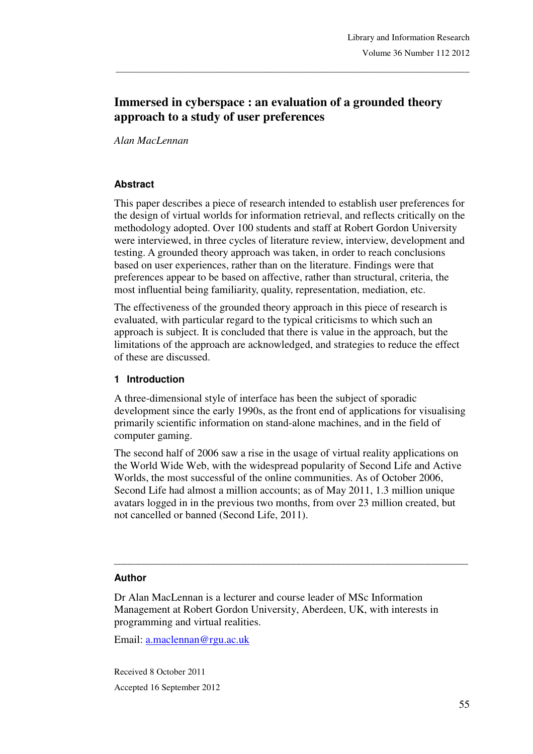# **Immersed in cyberspace : an evaluation of a grounded theory approach to a study of user preferences**

\_\_\_\_\_\_\_\_\_\_\_\_\_\_\_\_\_\_\_\_\_\_\_\_\_\_\_\_\_\_\_\_\_\_\_\_\_\_\_\_\_\_\_\_\_\_\_\_\_\_\_\_\_\_\_\_\_\_\_\_\_\_\_\_\_\_\_\_\_\_\_\_\_\_\_\_\_\_\_

*Alan MacLennan* 

#### **Abstract**

This paper describes a piece of research intended to establish user preferences for the design of virtual worlds for information retrieval, and reflects critically on the methodology adopted. Over 100 students and staff at Robert Gordon University were interviewed, in three cycles of literature review, interview, development and testing. A grounded theory approach was taken, in order to reach conclusions based on user experiences, rather than on the literature. Findings were that preferences appear to be based on affective, rather than structural, criteria, the most influential being familiarity, quality, representation, mediation, etc.

The effectiveness of the grounded theory approach in this piece of research is evaluated, with particular regard to the typical criticisms to which such an approach is subject. It is concluded that there is value in the approach, but the limitations of the approach are acknowledged, and strategies to reduce the effect of these are discussed.

#### **1 Introduction**

A three-dimensional style of interface has been the subject of sporadic development since the early 1990s, as the front end of applications for visualising primarily scientific information on stand-alone machines, and in the field of computer gaming.

The second half of 2006 saw a rise in the usage of virtual reality applications on the World Wide Web, with the widespread popularity of Second Life and Active Worlds, the most successful of the online communities. As of October 2006, Second Life had almost a million accounts; as of May 2011, 1.3 million unique avatars logged in in the previous two months, from over 23 million created, but not cancelled or banned (Second Life, 2011).

#### \_\_\_\_\_\_\_\_\_\_\_\_\_\_\_\_\_\_\_\_\_\_\_\_\_\_\_\_\_\_\_\_\_\_\_\_\_\_\_\_\_\_\_\_\_\_\_\_\_\_\_\_\_\_\_\_\_\_\_\_\_\_\_\_\_\_\_\_\_\_\_ **Author**

Dr Alan MacLennan is a lecturer and course leader of MSc Information Management at Robert Gordon University, Aberdeen, UK, with interests in programming and virtual realities.

Email: a.maclennan@rgu.ac.uk

Received 8 October 2011 Accepted 16 September 2012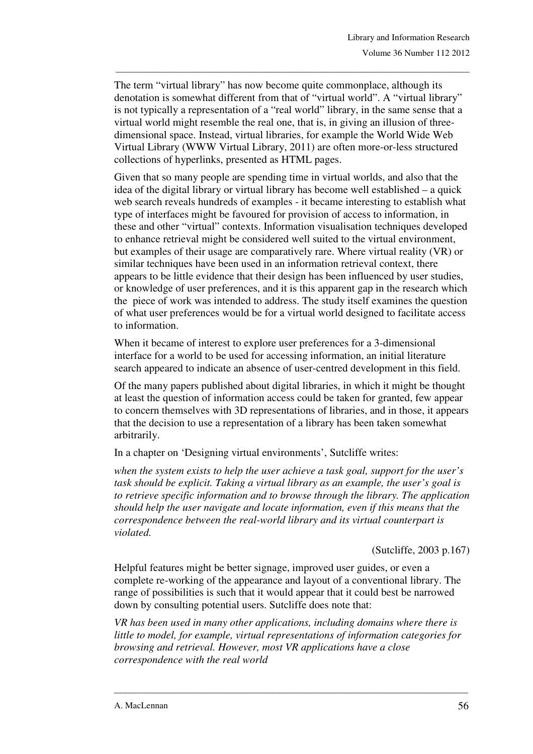The term "virtual library" has now become quite commonplace, although its denotation is somewhat different from that of "virtual world". A "virtual library" is not typically a representation of a "real world" library, in the same sense that a virtual world might resemble the real one, that is, in giving an illusion of threedimensional space. Instead, virtual libraries, for example the World Wide Web Virtual Library (WWW Virtual Library, 2011) are often more-or-less structured collections of hyperlinks, presented as HTML pages.

\_\_\_\_\_\_\_\_\_\_\_\_\_\_\_\_\_\_\_\_\_\_\_\_\_\_\_\_\_\_\_\_\_\_\_\_\_\_\_\_\_\_\_\_\_\_\_\_\_\_\_\_\_\_\_\_\_\_\_\_\_\_\_\_\_\_\_\_\_\_\_\_\_\_\_\_\_\_\_

Given that so many people are spending time in virtual worlds, and also that the idea of the digital library or virtual library has become well established – a quick web search reveals hundreds of examples - it became interesting to establish what type of interfaces might be favoured for provision of access to information, in these and other "virtual" contexts. Information visualisation techniques developed to enhance retrieval might be considered well suited to the virtual environment, but examples of their usage are comparatively rare. Where virtual reality (VR) or similar techniques have been used in an information retrieval context, there appears to be little evidence that their design has been influenced by user studies, or knowledge of user preferences, and it is this apparent gap in the research which the piece of work was intended to address. The study itself examines the question of what user preferences would be for a virtual world designed to facilitate access to information.

When it became of interest to explore user preferences for a 3-dimensional interface for a world to be used for accessing information, an initial literature search appeared to indicate an absence of user-centred development in this field.

Of the many papers published about digital libraries, in which it might be thought at least the question of information access could be taken for granted, few appear to concern themselves with 3D representations of libraries, and in those, it appears that the decision to use a representation of a library has been taken somewhat arbitrarily.

In a chapter on 'Designing virtual environments', Sutcliffe writes:

*when the system exists to help the user achieve a task goal, support for the user's task should be explicit. Taking a virtual library as an example, the user's goal is to retrieve specific information and to browse through the library. The application should help the user navigate and locate information, even if this means that the correspondence between the real-world library and its virtual counterpart is violated.* 

(Sutcliffe, 2003 p.167)

Helpful features might be better signage, improved user guides, or even a complete re-working of the appearance and layout of a conventional library. The range of possibilities is such that it would appear that it could best be narrowed down by consulting potential users. Sutcliffe does note that:

*VR has been used in many other applications, including domains where there is little to model, for example, virtual representations of information categories for browsing and retrieval. However, most VR applications have a close correspondence with the real world*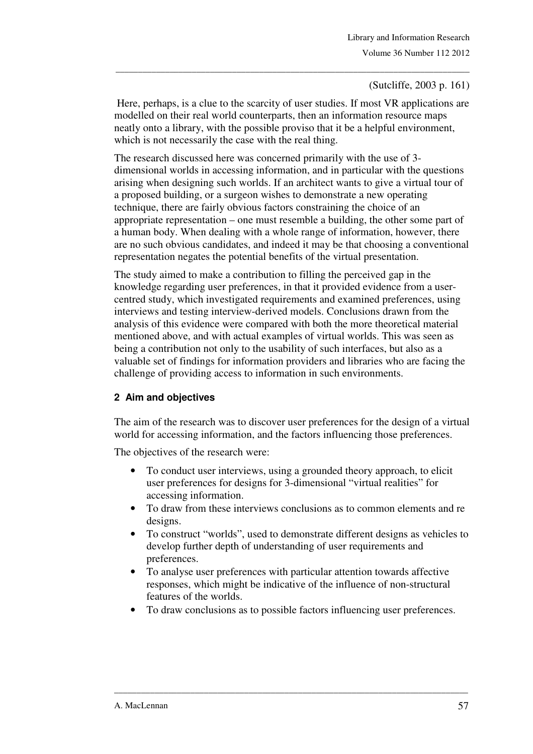(Sutcliffe, 2003 p. 161)

 Here, perhaps, is a clue to the scarcity of user studies. If most VR applications are modelled on their real world counterparts, then an information resource maps neatly onto a library, with the possible proviso that it be a helpful environment, which is not necessarily the case with the real thing.

\_\_\_\_\_\_\_\_\_\_\_\_\_\_\_\_\_\_\_\_\_\_\_\_\_\_\_\_\_\_\_\_\_\_\_\_\_\_\_\_\_\_\_\_\_\_\_\_\_\_\_\_\_\_\_\_\_\_\_\_\_\_\_\_\_\_\_\_\_\_\_\_\_\_\_\_\_\_\_

The research discussed here was concerned primarily with the use of 3 dimensional worlds in accessing information, and in particular with the questions arising when designing such worlds. If an architect wants to give a virtual tour of a proposed building, or a surgeon wishes to demonstrate a new operating technique, there are fairly obvious factors constraining the choice of an appropriate representation – one must resemble a building, the other some part of a human body. When dealing with a whole range of information, however, there are no such obvious candidates, and indeed it may be that choosing a conventional representation negates the potential benefits of the virtual presentation.

The study aimed to make a contribution to filling the perceived gap in the knowledge regarding user preferences, in that it provided evidence from a usercentred study, which investigated requirements and examined preferences, using interviews and testing interview-derived models. Conclusions drawn from the analysis of this evidence were compared with both the more theoretical material mentioned above, and with actual examples of virtual worlds. This was seen as being a contribution not only to the usability of such interfaces, but also as a valuable set of findings for information providers and libraries who are facing the challenge of providing access to information in such environments.

#### **2 Aim and objectives**

The aim of the research was to discover user preferences for the design of a virtual world for accessing information, and the factors influencing those preferences.

The objectives of the research were:

- To conduct user interviews, using a grounded theory approach, to elicit user preferences for designs for 3-dimensional "virtual realities" for accessing information.
- To draw from these interviews conclusions as to common elements and re designs.
- To construct "worlds", used to demonstrate different designs as vehicles to develop further depth of understanding of user requirements and preferences.
- To analyse user preferences with particular attention towards affective responses, which might be indicative of the influence of non-structural features of the worlds.
- To draw conclusions as to possible factors influencing user preferences.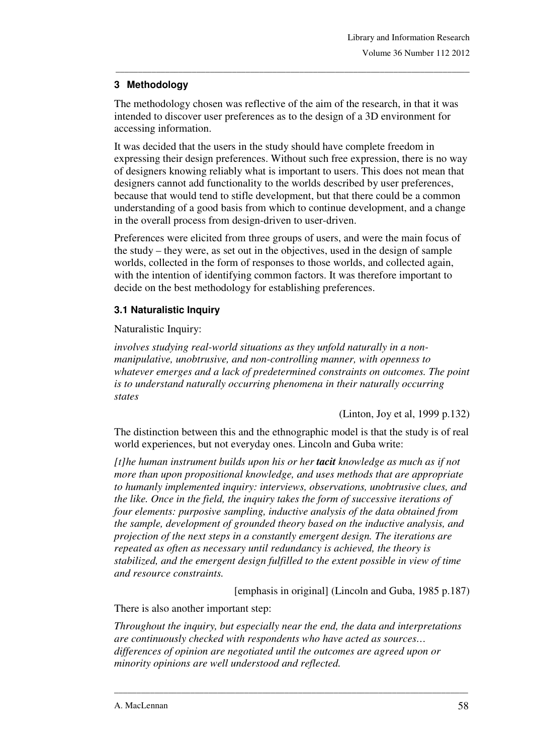## **3 Methodology**

The methodology chosen was reflective of the aim of the research, in that it was intended to discover user preferences as to the design of a 3D environment for accessing information.

\_\_\_\_\_\_\_\_\_\_\_\_\_\_\_\_\_\_\_\_\_\_\_\_\_\_\_\_\_\_\_\_\_\_\_\_\_\_\_\_\_\_\_\_\_\_\_\_\_\_\_\_\_\_\_\_\_\_\_\_\_\_\_\_\_\_\_\_\_\_\_\_\_\_\_\_\_\_\_

It was decided that the users in the study should have complete freedom in expressing their design preferences. Without such free expression, there is no way of designers knowing reliably what is important to users. This does not mean that designers cannot add functionality to the worlds described by user preferences, because that would tend to stifle development, but that there could be a common understanding of a good basis from which to continue development, and a change in the overall process from design-driven to user-driven.

Preferences were elicited from three groups of users, and were the main focus of the study – they were, as set out in the objectives, used in the design of sample worlds, collected in the form of responses to those worlds, and collected again, with the intention of identifying common factors. It was therefore important to decide on the best methodology for establishing preferences.

## **3.1 Naturalistic Inquiry**

Naturalistic Inquiry:

*involves studying real-world situations as they unfold naturally in a nonmanipulative, unobtrusive, and non-controlling manner, with openness to whatever emerges and a lack of predetermined constraints on outcomes. The point is to understand naturally occurring phenomena in their naturally occurring states*

(Linton, Joy et al, 1999 p.132)

The distinction between this and the ethnographic model is that the study is of real world experiences, but not everyday ones. Lincoln and Guba write:

*[t]he human instrument builds upon his or her tacit knowledge as much as if not more than upon propositional knowledge, and uses methods that are appropriate to humanly implemented inquiry: interviews, observations, unobtrusive clues, and the like. Once in the field, the inquiry takes the form of successive iterations of four elements: purposive sampling, inductive analysis of the data obtained from the sample, development of grounded theory based on the inductive analysis, and projection of the next steps in a constantly emergent design. The iterations are repeated as often as necessary until redundancy is achieved, the theory is stabilized, and the emergent design fulfilled to the extent possible in view of time and resource constraints.*

[emphasis in original] (Lincoln and Guba, 1985 p.187)

There is also another important step:

*Throughout the inquiry, but especially near the end, the data and interpretations are continuously checked with respondents who have acted as sources… differences of opinion are negotiated until the outcomes are agreed upon or minority opinions are well understood and reflected.*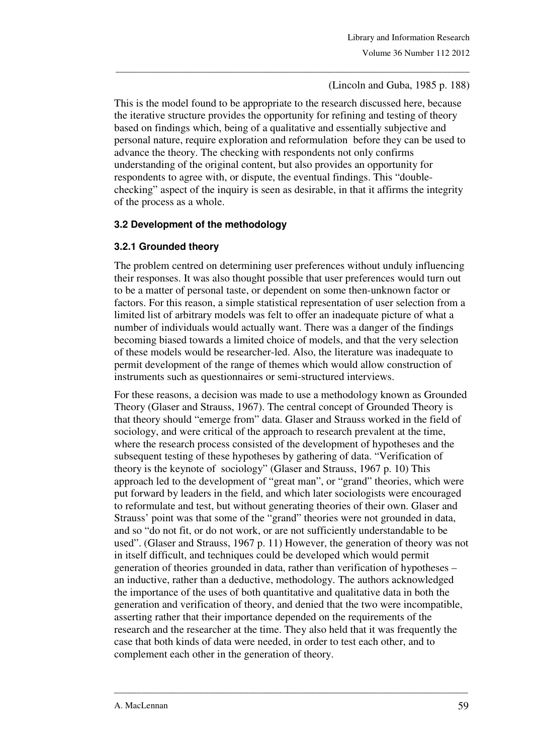#### (Lincoln and Guba, 1985 p. 188)

This is the model found to be appropriate to the research discussed here, because the iterative structure provides the opportunity for refining and testing of theory based on findings which, being of a qualitative and essentially subjective and personal nature, require exploration and reformulation before they can be used to advance the theory. The checking with respondents not only confirms understanding of the original content, but also provides an opportunity for respondents to agree with, or dispute, the eventual findings. This "doublechecking" aspect of the inquiry is seen as desirable, in that it affirms the integrity of the process as a whole.

\_\_\_\_\_\_\_\_\_\_\_\_\_\_\_\_\_\_\_\_\_\_\_\_\_\_\_\_\_\_\_\_\_\_\_\_\_\_\_\_\_\_\_\_\_\_\_\_\_\_\_\_\_\_\_\_\_\_\_\_\_\_\_\_\_\_\_\_\_\_\_\_\_\_\_\_\_\_\_

## **3.2 Development of the methodology**

## **3.2.1 Grounded theory**

The problem centred on determining user preferences without unduly influencing their responses. It was also thought possible that user preferences would turn out to be a matter of personal taste, or dependent on some then-unknown factor or factors. For this reason, a simple statistical representation of user selection from a limited list of arbitrary models was felt to offer an inadequate picture of what a number of individuals would actually want. There was a danger of the findings becoming biased towards a limited choice of models, and that the very selection of these models would be researcher-led. Also, the literature was inadequate to permit development of the range of themes which would allow construction of instruments such as questionnaires or semi-structured interviews.

For these reasons, a decision was made to use a methodology known as Grounded Theory (Glaser and Strauss, 1967). The central concept of Grounded Theory is that theory should "emerge from" data. Glaser and Strauss worked in the field of sociology, and were critical of the approach to research prevalent at the time, where the research process consisted of the development of hypotheses and the subsequent testing of these hypotheses by gathering of data. "Verification of theory is the keynote of sociology" (Glaser and Strauss, 1967 p. 10) This approach led to the development of "great man", or "grand" theories, which were put forward by leaders in the field, and which later sociologists were encouraged to reformulate and test, but without generating theories of their own. Glaser and Strauss' point was that some of the "grand" theories were not grounded in data, and so "do not fit, or do not work, or are not sufficiently understandable to be used". (Glaser and Strauss, 1967 p. 11) However, the generation of theory was not in itself difficult, and techniques could be developed which would permit generation of theories grounded in data, rather than verification of hypotheses – an inductive, rather than a deductive, methodology. The authors acknowledged the importance of the uses of both quantitative and qualitative data in both the generation and verification of theory, and denied that the two were incompatible, asserting rather that their importance depended on the requirements of the research and the researcher at the time. They also held that it was frequently the case that both kinds of data were needed, in order to test each other, and to complement each other in the generation of theory.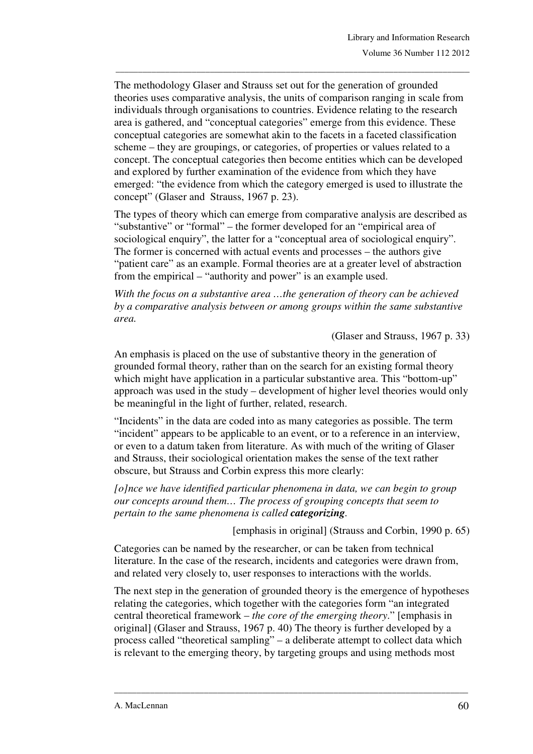The methodology Glaser and Strauss set out for the generation of grounded theories uses comparative analysis, the units of comparison ranging in scale from individuals through organisations to countries. Evidence relating to the research area is gathered, and "conceptual categories" emerge from this evidence. These conceptual categories are somewhat akin to the facets in a faceted classification scheme – they are groupings, or categories, of properties or values related to a concept. The conceptual categories then become entities which can be developed and explored by further examination of the evidence from which they have emerged: "the evidence from which the category emerged is used to illustrate the concept" (Glaser and Strauss, 1967 p. 23).

\_\_\_\_\_\_\_\_\_\_\_\_\_\_\_\_\_\_\_\_\_\_\_\_\_\_\_\_\_\_\_\_\_\_\_\_\_\_\_\_\_\_\_\_\_\_\_\_\_\_\_\_\_\_\_\_\_\_\_\_\_\_\_\_\_\_\_\_\_\_\_\_\_\_\_\_\_\_\_

The types of theory which can emerge from comparative analysis are described as "substantive" or "formal" – the former developed for an "empirical area of sociological enquiry", the latter for a "conceptual area of sociological enquiry". The former is concerned with actual events and processes – the authors give "patient care" as an example. Formal theories are at a greater level of abstraction from the empirical – "authority and power" is an example used.

*With the focus on a substantive area …the generation of theory can be achieved by a comparative analysis between or among groups within the same substantive area.* 

(Glaser and Strauss, 1967 p. 33)

An emphasis is placed on the use of substantive theory in the generation of grounded formal theory, rather than on the search for an existing formal theory which might have application in a particular substantive area. This "bottom-up" approach was used in the study – development of higher level theories would only be meaningful in the light of further, related, research.

"Incidents" in the data are coded into as many categories as possible. The term "incident" appears to be applicable to an event, or to a reference in an interview, or even to a datum taken from literature. As with much of the writing of Glaser and Strauss, their sociological orientation makes the sense of the text rather obscure, but Strauss and Corbin express this more clearly:

*[o]nce we have identified particular phenomena in data, we can begin to group our concepts around them… The process of grouping concepts that seem to pertain to the same phenomena is called categorizing.* 

[emphasis in original] (Strauss and Corbin, 1990 p. 65)

Categories can be named by the researcher, or can be taken from technical literature. In the case of the research, incidents and categories were drawn from, and related very closely to, user responses to interactions with the worlds.

The next step in the generation of grounded theory is the emergence of hypotheses relating the categories, which together with the categories form "an integrated central theoretical framework – *the core of the emerging theory*." [emphasis in original] (Glaser and Strauss, 1967 p. 40) The theory is further developed by a process called "theoretical sampling" – a deliberate attempt to collect data which is relevant to the emerging theory, by targeting groups and using methods most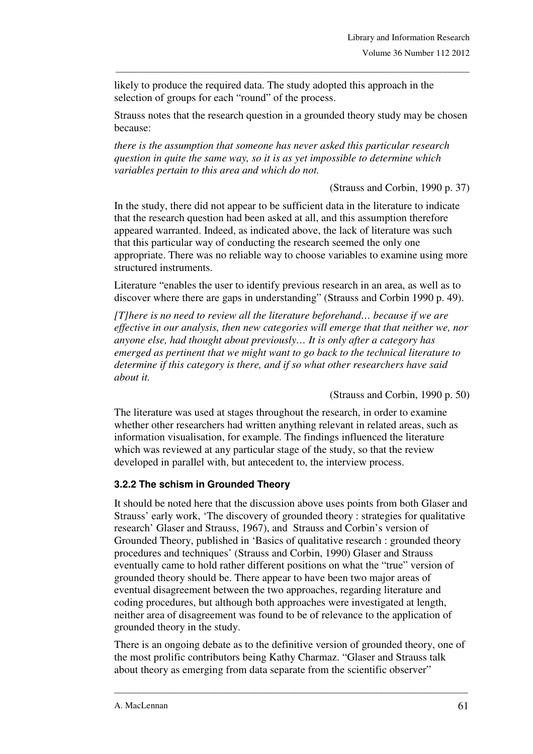likely to produce the required data. The study adopted this approach in the selection of groups for each "round" of the process.

Strauss notes that the research question in a grounded theory study may be chosen because:

\_\_\_\_\_\_\_\_\_\_\_\_\_\_\_\_\_\_\_\_\_\_\_\_\_\_\_\_\_\_\_\_\_\_\_\_\_\_\_\_\_\_\_\_\_\_\_\_\_\_\_\_\_\_\_\_\_\_\_\_\_\_\_\_\_\_\_\_\_\_\_\_\_\_\_\_\_\_\_

*there is the assumption that someone has never asked this particular research question in quite the same way, so it is as yet impossible to determine which variables pertain to this area and which do not.* 

(Strauss and Corbin, 1990 p. 37)

In the study, there did not appear to be sufficient data in the literature to indicate that the research question had been asked at all, and this assumption therefore appeared warranted. Indeed, as indicated above, the lack of literature was such that this particular way of conducting the research seemed the only one appropriate. There was no reliable way to choose variables to examine using more structured instruments.

Literature "enables the user to identify previous research in an area, as well as to discover where there are gaps in understanding" (Strauss and Corbin 1990 p. 49).

*[T]here is no need to review all the literature beforehand… because if we are effective in our analysis, then new categories will emerge that that neither we, nor anyone else, had thought about previously… It is only after a category has emerged as pertinent that we might want to go back to the technical literature to determine if this category is there, and if so what other researchers have said about it.*

(Strauss and Corbin, 1990 p. 50)

The literature was used at stages throughout the research, in order to examine whether other researchers had written anything relevant in related areas, such as information visualisation, for example. The findings influenced the literature which was reviewed at any particular stage of the study, so that the review developed in parallel with, but antecedent to, the interview process.

## **3.2.2 The schism in Grounded Theory**

It should be noted here that the discussion above uses points from both Glaser and Strauss' early work, 'The discovery of grounded theory : strategies for qualitative research' Glaser and Strauss, 1967), and Strauss and Corbin's version of Grounded Theory, published in 'Basics of qualitative research : grounded theory procedures and techniques' (Strauss and Corbin, 1990) Glaser and Strauss eventually came to hold rather different positions on what the "true" version of grounded theory should be. There appear to have been two major areas of eventual disagreement between the two approaches, regarding literature and coding procedures, but although both approaches were investigated at length, neither area of disagreement was found to be of relevance to the application of grounded theory in the study.

There is an ongoing debate as to the definitive version of grounded theory, one of the most prolific contributors being Kathy Charmaz. "Glaser and Strauss talk about theory as emerging from data separate from the scientific observer"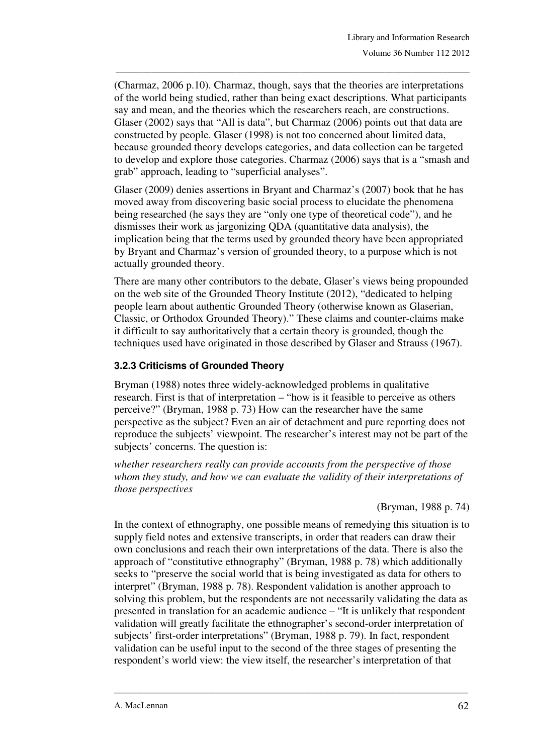(Charmaz, 2006 p.10). Charmaz, though, says that the theories are interpretations of the world being studied, rather than being exact descriptions. What participants say and mean, and the theories which the researchers reach, are constructions. Glaser (2002) says that "All is data", but Charmaz (2006) points out that data are constructed by people. Glaser (1998) is not too concerned about limited data, because grounded theory develops categories, and data collection can be targeted to develop and explore those categories. Charmaz (2006) says that is a "smash and grab" approach, leading to "superficial analyses".

\_\_\_\_\_\_\_\_\_\_\_\_\_\_\_\_\_\_\_\_\_\_\_\_\_\_\_\_\_\_\_\_\_\_\_\_\_\_\_\_\_\_\_\_\_\_\_\_\_\_\_\_\_\_\_\_\_\_\_\_\_\_\_\_\_\_\_\_\_\_\_\_\_\_\_\_\_\_\_

Glaser (2009) denies assertions in Bryant and Charmaz's (2007) book that he has moved away from discovering basic social process to elucidate the phenomena being researched (he says they are "only one type of theoretical code"), and he dismisses their work as jargonizing QDA (quantitative data analysis), the implication being that the terms used by grounded theory have been appropriated by Bryant and Charmaz's version of grounded theory, to a purpose which is not actually grounded theory.

There are many other contributors to the debate, Glaser's views being propounded on the web site of the Grounded Theory Institute (2012), "dedicated to helping people learn about authentic Grounded Theory (otherwise known as Glaserian, Classic, or Orthodox Grounded Theory)." These claims and counter-claims make it difficult to say authoritatively that a certain theory is grounded, though the techniques used have originated in those described by Glaser and Strauss (1967).

## **3.2.3 Criticisms of Grounded Theory**

Bryman (1988) notes three widely-acknowledged problems in qualitative research. First is that of interpretation – "how is it feasible to perceive as others perceive?" (Bryman, 1988 p. 73) How can the researcher have the same perspective as the subject? Even an air of detachment and pure reporting does not reproduce the subjects' viewpoint. The researcher's interest may not be part of the subjects' concerns. The question is:

*whether researchers really can provide accounts from the perspective of those whom they study, and how we can evaluate the validity of their interpretations of those perspectives*

(Bryman, 1988 p. 74)

In the context of ethnography, one possible means of remedying this situation is to supply field notes and extensive transcripts, in order that readers can draw their own conclusions and reach their own interpretations of the data. There is also the approach of "constitutive ethnography" (Bryman, 1988 p. 78) which additionally seeks to "preserve the social world that is being investigated as data for others to interpret" (Bryman, 1988 p. 78). Respondent validation is another approach to solving this problem, but the respondents are not necessarily validating the data as presented in translation for an academic audience – "It is unlikely that respondent validation will greatly facilitate the ethnographer's second-order interpretation of subjects' first-order interpretations" (Bryman, 1988 p. 79). In fact, respondent validation can be useful input to the second of the three stages of presenting the respondent's world view: the view itself, the researcher's interpretation of that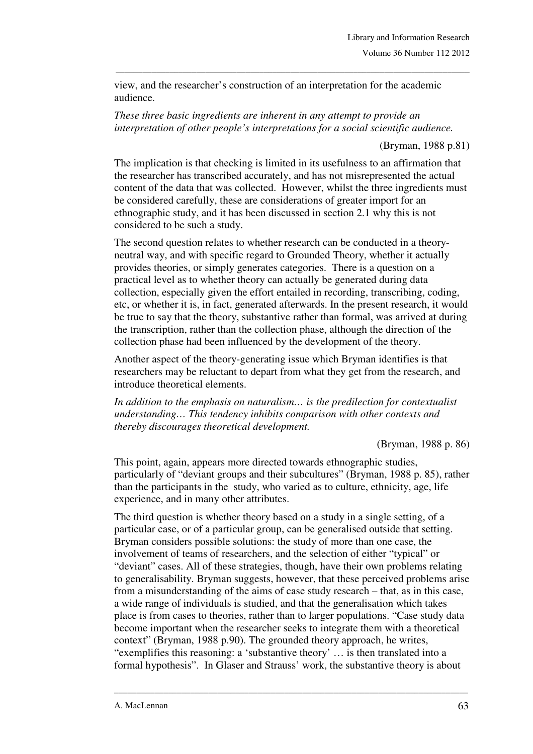view, and the researcher's construction of an interpretation for the academic audience.

*These three basic ingredients are inherent in any attempt to provide an interpretation of other people's interpretations for a social scientific audience.* 

\_\_\_\_\_\_\_\_\_\_\_\_\_\_\_\_\_\_\_\_\_\_\_\_\_\_\_\_\_\_\_\_\_\_\_\_\_\_\_\_\_\_\_\_\_\_\_\_\_\_\_\_\_\_\_\_\_\_\_\_\_\_\_\_\_\_\_\_\_\_\_\_\_\_\_\_\_\_\_

(Bryman, 1988 p.81)

The implication is that checking is limited in its usefulness to an affirmation that the researcher has transcribed accurately, and has not misrepresented the actual content of the data that was collected. However, whilst the three ingredients must be considered carefully, these are considerations of greater import for an ethnographic study, and it has been discussed in section 2.1 why this is not considered to be such a study.

The second question relates to whether research can be conducted in a theoryneutral way, and with specific regard to Grounded Theory, whether it actually provides theories, or simply generates categories. There is a question on a practical level as to whether theory can actually be generated during data collection, especially given the effort entailed in recording, transcribing, coding, etc, or whether it is, in fact, generated afterwards. In the present research, it would be true to say that the theory, substantive rather than formal, was arrived at during the transcription, rather than the collection phase, although the direction of the collection phase had been influenced by the development of the theory.

Another aspect of the theory-generating issue which Bryman identifies is that researchers may be reluctant to depart from what they get from the research, and introduce theoretical elements.

*In addition to the emphasis on naturalism… is the predilection for contextualist understanding… This tendency inhibits comparison with other contexts and thereby discourages theoretical development.*

(Bryman, 1988 p. 86)

This point, again, appears more directed towards ethnographic studies, particularly of "deviant groups and their subcultures" (Bryman, 1988 p. 85), rather than the participants in the study, who varied as to culture, ethnicity, age, life experience, and in many other attributes.

The third question is whether theory based on a study in a single setting, of a particular case, or of a particular group, can be generalised outside that setting. Bryman considers possible solutions: the study of more than one case, the involvement of teams of researchers, and the selection of either "typical" or "deviant" cases. All of these strategies, though, have their own problems relating to generalisability. Bryman suggests, however, that these perceived problems arise from a misunderstanding of the aims of case study research – that, as in this case, a wide range of individuals is studied, and that the generalisation which takes place is from cases to theories, rather than to larger populations. "Case study data become important when the researcher seeks to integrate them with a theoretical context" (Bryman, 1988 p.90). The grounded theory approach, he writes, "exemplifies this reasoning: a 'substantive theory' … is then translated into a formal hypothesis". In Glaser and Strauss' work, the substantive theory is about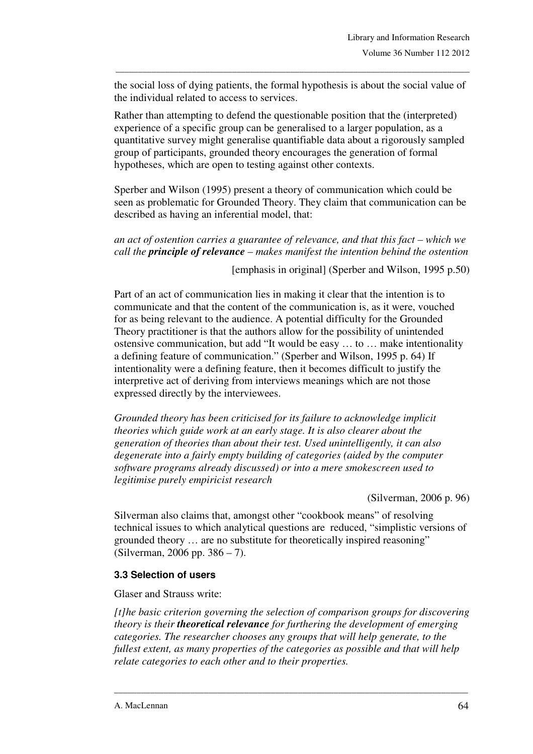the social loss of dying patients, the formal hypothesis is about the social value of the individual related to access to services.

\_\_\_\_\_\_\_\_\_\_\_\_\_\_\_\_\_\_\_\_\_\_\_\_\_\_\_\_\_\_\_\_\_\_\_\_\_\_\_\_\_\_\_\_\_\_\_\_\_\_\_\_\_\_\_\_\_\_\_\_\_\_\_\_\_\_\_\_\_\_\_\_\_\_\_\_\_\_\_

Rather than attempting to defend the questionable position that the (interpreted) experience of a specific group can be generalised to a larger population, as a quantitative survey might generalise quantifiable data about a rigorously sampled group of participants, grounded theory encourages the generation of formal hypotheses, which are open to testing against other contexts.

Sperber and Wilson (1995) present a theory of communication which could be seen as problematic for Grounded Theory. They claim that communication can be described as having an inferential model, that:

*an act of ostention carries a guarantee of relevance, and that this fact – which we call the principle of relevance – makes manifest the intention behind the ostention*

[emphasis in original] (Sperber and Wilson, 1995 p.50)

Part of an act of communication lies in making it clear that the intention is to communicate and that the content of the communication is, as it were, vouched for as being relevant to the audience. A potential difficulty for the Grounded Theory practitioner is that the authors allow for the possibility of unintended ostensive communication, but add "It would be easy … to … make intentionality a defining feature of communication." (Sperber and Wilson, 1995 p. 64) If intentionality were a defining feature, then it becomes difficult to justify the interpretive act of deriving from interviews meanings which are not those expressed directly by the interviewees.

*Grounded theory has been criticised for its failure to acknowledge implicit theories which guide work at an early stage. It is also clearer about the generation of theories than about their test. Used unintelligently, it can also degenerate into a fairly empty building of categories (aided by the computer software programs already discussed) or into a mere smokescreen used to legitimise purely empiricist research*

(Silverman, 2006 p. 96)

Silverman also claims that, amongst other "cookbook means" of resolving technical issues to which analytical questions are reduced, "simplistic versions of grounded theory … are no substitute for theoretically inspired reasoning" (Silverman, 2006 pp. 386 – 7).

#### **3.3 Selection of users**

Glaser and Strauss write:

*[t]he basic criterion governing the selection of comparison groups for discovering theory is their theoretical relevance for furthering the development of emerging categories. The researcher chooses any groups that will help generate, to the fullest extent, as many properties of the categories as possible and that will help relate categories to each other and to their properties.*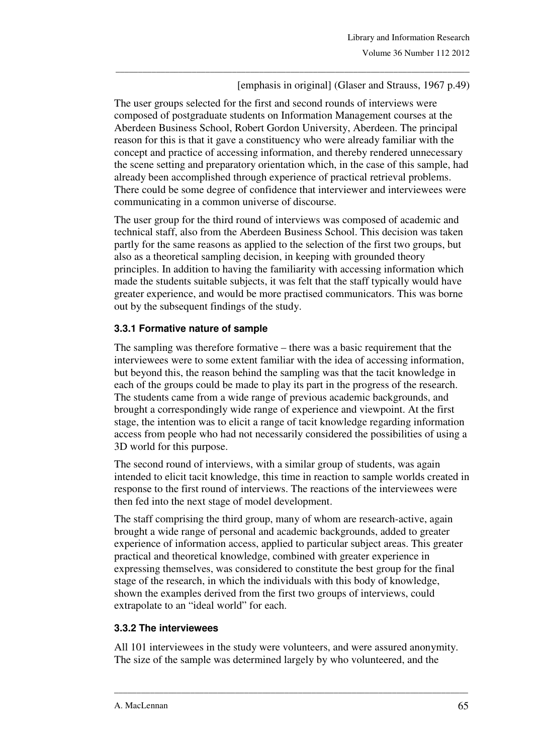## [emphasis in original] (Glaser and Strauss, 1967 p.49)

The user groups selected for the first and second rounds of interviews were composed of postgraduate students on Information Management courses at the Aberdeen Business School, Robert Gordon University, Aberdeen. The principal reason for this is that it gave a constituency who were already familiar with the concept and practice of accessing information, and thereby rendered unnecessary the scene setting and preparatory orientation which, in the case of this sample, had already been accomplished through experience of practical retrieval problems. There could be some degree of confidence that interviewer and interviewees were communicating in a common universe of discourse.

\_\_\_\_\_\_\_\_\_\_\_\_\_\_\_\_\_\_\_\_\_\_\_\_\_\_\_\_\_\_\_\_\_\_\_\_\_\_\_\_\_\_\_\_\_\_\_\_\_\_\_\_\_\_\_\_\_\_\_\_\_\_\_\_\_\_\_\_\_\_\_\_\_\_\_\_\_\_\_

The user group for the third round of interviews was composed of academic and technical staff, also from the Aberdeen Business School. This decision was taken partly for the same reasons as applied to the selection of the first two groups, but also as a theoretical sampling decision, in keeping with grounded theory principles. In addition to having the familiarity with accessing information which made the students suitable subjects, it was felt that the staff typically would have greater experience, and would be more practised communicators. This was borne out by the subsequent findings of the study.

## **3.3.1 Formative nature of sample**

The sampling was therefore formative – there was a basic requirement that the interviewees were to some extent familiar with the idea of accessing information, but beyond this, the reason behind the sampling was that the tacit knowledge in each of the groups could be made to play its part in the progress of the research. The students came from a wide range of previous academic backgrounds, and brought a correspondingly wide range of experience and viewpoint. At the first stage, the intention was to elicit a range of tacit knowledge regarding information access from people who had not necessarily considered the possibilities of using a 3D world for this purpose.

The second round of interviews, with a similar group of students, was again intended to elicit tacit knowledge, this time in reaction to sample worlds created in response to the first round of interviews. The reactions of the interviewees were then fed into the next stage of model development.

The staff comprising the third group, many of whom are research-active, again brought a wide range of personal and academic backgrounds, added to greater experience of information access, applied to particular subject areas. This greater practical and theoretical knowledge, combined with greater experience in expressing themselves, was considered to constitute the best group for the final stage of the research, in which the individuals with this body of knowledge, shown the examples derived from the first two groups of interviews, could extrapolate to an "ideal world" for each.

## **3.3.2 The interviewees**

All 101 interviewees in the study were volunteers, and were assured anonymity. The size of the sample was determined largely by who volunteered, and the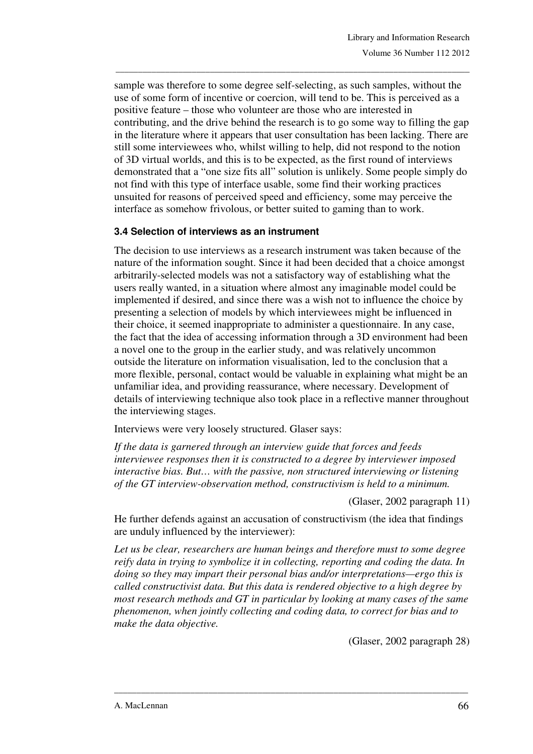sample was therefore to some degree self-selecting, as such samples, without the use of some form of incentive or coercion, will tend to be. This is perceived as a positive feature – those who volunteer are those who are interested in contributing, and the drive behind the research is to go some way to filling the gap in the literature where it appears that user consultation has been lacking. There are still some interviewees who, whilst willing to help, did not respond to the notion of 3D virtual worlds, and this is to be expected, as the first round of interviews demonstrated that a "one size fits all" solution is unlikely. Some people simply do not find with this type of interface usable, some find their working practices unsuited for reasons of perceived speed and efficiency, some may perceive the interface as somehow frivolous, or better suited to gaming than to work.

\_\_\_\_\_\_\_\_\_\_\_\_\_\_\_\_\_\_\_\_\_\_\_\_\_\_\_\_\_\_\_\_\_\_\_\_\_\_\_\_\_\_\_\_\_\_\_\_\_\_\_\_\_\_\_\_\_\_\_\_\_\_\_\_\_\_\_\_\_\_\_\_\_\_\_\_\_\_\_

#### **3.4 Selection of interviews as an instrument**

The decision to use interviews as a research instrument was taken because of the nature of the information sought. Since it had been decided that a choice amongst arbitrarily-selected models was not a satisfactory way of establishing what the users really wanted, in a situation where almost any imaginable model could be implemented if desired, and since there was a wish not to influence the choice by presenting a selection of models by which interviewees might be influenced in their choice, it seemed inappropriate to administer a questionnaire. In any case, the fact that the idea of accessing information through a 3D environment had been a novel one to the group in the earlier study, and was relatively uncommon outside the literature on information visualisation, led to the conclusion that a more flexible, personal, contact would be valuable in explaining what might be an unfamiliar idea, and providing reassurance, where necessary. Development of details of interviewing technique also took place in a reflective manner throughout the interviewing stages.

Interviews were very loosely structured. Glaser says:

*If the data is garnered through an interview guide that forces and feeds interviewee responses then it is constructed to a degree by interviewer imposed interactive bias. But… with the passive, non structured interviewing or listening of the GT interview-observation method, constructivism is held to a minimum.* 

(Glaser, 2002 paragraph 11)

He further defends against an accusation of constructivism (the idea that findings are unduly influenced by the interviewer):

*Let us be clear, researchers are human beings and therefore must to some degree reify data in trying to symbolize it in collecting, reporting and coding the data. In doing so they may impart their personal bias and/or interpretations—ergo this is called constructivist data. But this data is rendered objective to a high degree by most research methods and GT in particular by looking at many cases of the same phenomenon, when jointly collecting and coding data, to correct for bias and to make the data objective.*

\_\_\_\_\_\_\_\_\_\_\_\_\_\_\_\_\_\_\_\_\_\_\_\_\_\_\_\_\_\_\_\_\_\_\_\_\_\_\_\_\_\_\_\_\_\_\_\_\_\_\_\_\_\_\_\_\_\_\_\_\_\_\_\_\_\_\_\_\_\_\_\_\_\_\_\_\_\_\_

(Glaser, 2002 paragraph 28)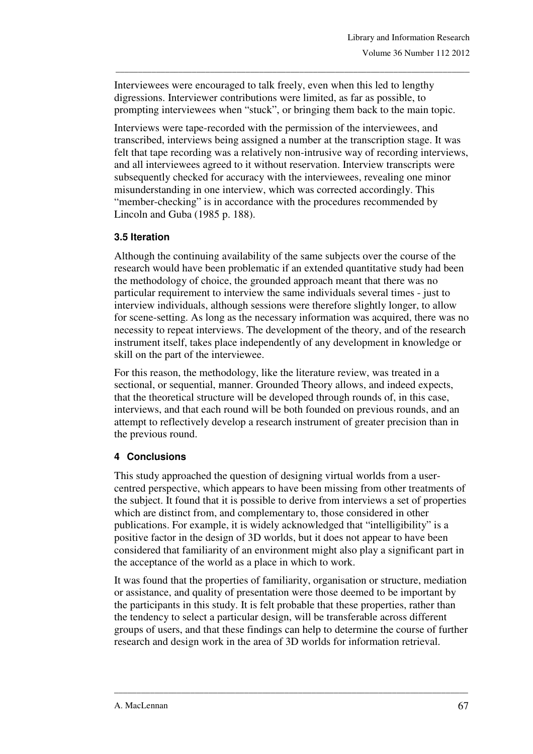Interviewees were encouraged to talk freely, even when this led to lengthy digressions. Interviewer contributions were limited, as far as possible, to prompting interviewees when "stuck", or bringing them back to the main topic.

\_\_\_\_\_\_\_\_\_\_\_\_\_\_\_\_\_\_\_\_\_\_\_\_\_\_\_\_\_\_\_\_\_\_\_\_\_\_\_\_\_\_\_\_\_\_\_\_\_\_\_\_\_\_\_\_\_\_\_\_\_\_\_\_\_\_\_\_\_\_\_\_\_\_\_\_\_\_\_

Interviews were tape-recorded with the permission of the interviewees, and transcribed, interviews being assigned a number at the transcription stage. It was felt that tape recording was a relatively non-intrusive way of recording interviews, and all interviewees agreed to it without reservation. Interview transcripts were subsequently checked for accuracy with the interviewees, revealing one minor misunderstanding in one interview, which was corrected accordingly. This "member-checking" is in accordance with the procedures recommended by Lincoln and Guba (1985 p. 188).

## **3.5 Iteration**

Although the continuing availability of the same subjects over the course of the research would have been problematic if an extended quantitative study had been the methodology of choice, the grounded approach meant that there was no particular requirement to interview the same individuals several times - just to interview individuals, although sessions were therefore slightly longer, to allow for scene-setting. As long as the necessary information was acquired, there was no necessity to repeat interviews. The development of the theory, and of the research instrument itself, takes place independently of any development in knowledge or skill on the part of the interviewee.

For this reason, the methodology, like the literature review, was treated in a sectional, or sequential, manner. Grounded Theory allows, and indeed expects, that the theoretical structure will be developed through rounds of, in this case, interviews, and that each round will be both founded on previous rounds, and an attempt to reflectively develop a research instrument of greater precision than in the previous round.

## **4 Conclusions**

This study approached the question of designing virtual worlds from a usercentred perspective, which appears to have been missing from other treatments of the subject. It found that it is possible to derive from interviews a set of properties which are distinct from, and complementary to, those considered in other publications. For example, it is widely acknowledged that "intelligibility" is a positive factor in the design of 3D worlds, but it does not appear to have been considered that familiarity of an environment might also play a significant part in the acceptance of the world as a place in which to work.

It was found that the properties of familiarity, organisation or structure, mediation or assistance, and quality of presentation were those deemed to be important by the participants in this study. It is felt probable that these properties, rather than the tendency to select a particular design, will be transferable across different groups of users, and that these findings can help to determine the course of further research and design work in the area of 3D worlds for information retrieval.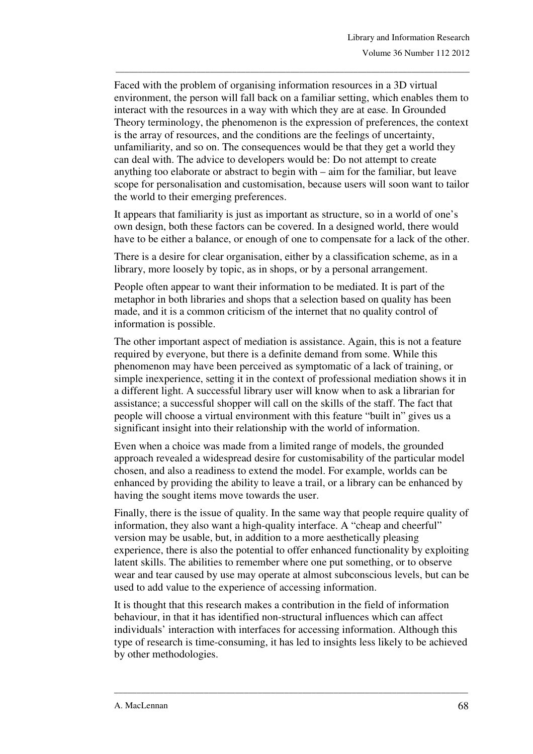Faced with the problem of organising information resources in a 3D virtual environment, the person will fall back on a familiar setting, which enables them to interact with the resources in a way with which they are at ease. In Grounded Theory terminology, the phenomenon is the expression of preferences, the context is the array of resources, and the conditions are the feelings of uncertainty, unfamiliarity, and so on. The consequences would be that they get a world they can deal with. The advice to developers would be: Do not attempt to create anything too elaborate or abstract to begin with – aim for the familiar, but leave scope for personalisation and customisation, because users will soon want to tailor the world to their emerging preferences.

\_\_\_\_\_\_\_\_\_\_\_\_\_\_\_\_\_\_\_\_\_\_\_\_\_\_\_\_\_\_\_\_\_\_\_\_\_\_\_\_\_\_\_\_\_\_\_\_\_\_\_\_\_\_\_\_\_\_\_\_\_\_\_\_\_\_\_\_\_\_\_\_\_\_\_\_\_\_\_

It appears that familiarity is just as important as structure, so in a world of one's own design, both these factors can be covered. In a designed world, there would have to be either a balance, or enough of one to compensate for a lack of the other.

There is a desire for clear organisation, either by a classification scheme, as in a library, more loosely by topic, as in shops, or by a personal arrangement.

People often appear to want their information to be mediated. It is part of the metaphor in both libraries and shops that a selection based on quality has been made, and it is a common criticism of the internet that no quality control of information is possible.

The other important aspect of mediation is assistance. Again, this is not a feature required by everyone, but there is a definite demand from some. While this phenomenon may have been perceived as symptomatic of a lack of training, or simple inexperience, setting it in the context of professional mediation shows it in a different light. A successful library user will know when to ask a librarian for assistance; a successful shopper will call on the skills of the staff. The fact that people will choose a virtual environment with this feature "built in" gives us a significant insight into their relationship with the world of information.

Even when a choice was made from a limited range of models, the grounded approach revealed a widespread desire for customisability of the particular model chosen, and also a readiness to extend the model. For example, worlds can be enhanced by providing the ability to leave a trail, or a library can be enhanced by having the sought items move towards the user.

Finally, there is the issue of quality. In the same way that people require quality of information, they also want a high-quality interface. A "cheap and cheerful" version may be usable, but, in addition to a more aesthetically pleasing experience, there is also the potential to offer enhanced functionality by exploiting latent skills. The abilities to remember where one put something, or to observe wear and tear caused by use may operate at almost subconscious levels, but can be used to add value to the experience of accessing information.

It is thought that this research makes a contribution in the field of information behaviour, in that it has identified non-structural influences which can affect individuals' interaction with interfaces for accessing information. Although this type of research is time-consuming, it has led to insights less likely to be achieved by other methodologies.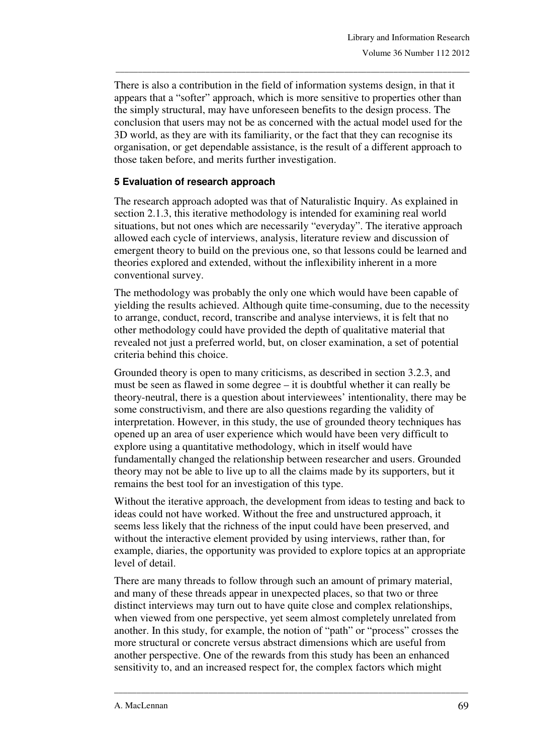There is also a contribution in the field of information systems design, in that it appears that a "softer" approach, which is more sensitive to properties other than the simply structural, may have unforeseen benefits to the design process. The conclusion that users may not be as concerned with the actual model used for the 3D world, as they are with its familiarity, or the fact that they can recognise its organisation, or get dependable assistance, is the result of a different approach to those taken before, and merits further investigation.

\_\_\_\_\_\_\_\_\_\_\_\_\_\_\_\_\_\_\_\_\_\_\_\_\_\_\_\_\_\_\_\_\_\_\_\_\_\_\_\_\_\_\_\_\_\_\_\_\_\_\_\_\_\_\_\_\_\_\_\_\_\_\_\_\_\_\_\_\_\_\_\_\_\_\_\_\_\_\_

### **5 Evaluation of research approach**

The research approach adopted was that of Naturalistic Inquiry. As explained in section 2.1.3, this iterative methodology is intended for examining real world situations, but not ones which are necessarily "everyday". The iterative approach allowed each cycle of interviews, analysis, literature review and discussion of emergent theory to build on the previous one, so that lessons could be learned and theories explored and extended, without the inflexibility inherent in a more conventional survey.

The methodology was probably the only one which would have been capable of yielding the results achieved. Although quite time-consuming, due to the necessity to arrange, conduct, record, transcribe and analyse interviews, it is felt that no other methodology could have provided the depth of qualitative material that revealed not just a preferred world, but, on closer examination, a set of potential criteria behind this choice.

Grounded theory is open to many criticisms, as described in section 3.2.3, and must be seen as flawed in some degree – it is doubtful whether it can really be theory-neutral, there is a question about interviewees' intentionality, there may be some constructivism, and there are also questions regarding the validity of interpretation. However, in this study, the use of grounded theory techniques has opened up an area of user experience which would have been very difficult to explore using a quantitative methodology, which in itself would have fundamentally changed the relationship between researcher and users. Grounded theory may not be able to live up to all the claims made by its supporters, but it remains the best tool for an investigation of this type.

Without the iterative approach, the development from ideas to testing and back to ideas could not have worked. Without the free and unstructured approach, it seems less likely that the richness of the input could have been preserved, and without the interactive element provided by using interviews, rather than, for example, diaries, the opportunity was provided to explore topics at an appropriate level of detail.

There are many threads to follow through such an amount of primary material, and many of these threads appear in unexpected places, so that two or three distinct interviews may turn out to have quite close and complex relationships, when viewed from one perspective, yet seem almost completely unrelated from another. In this study, for example, the notion of "path" or "process" crosses the more structural or concrete versus abstract dimensions which are useful from another perspective. One of the rewards from this study has been an enhanced sensitivity to, and an increased respect for, the complex factors which might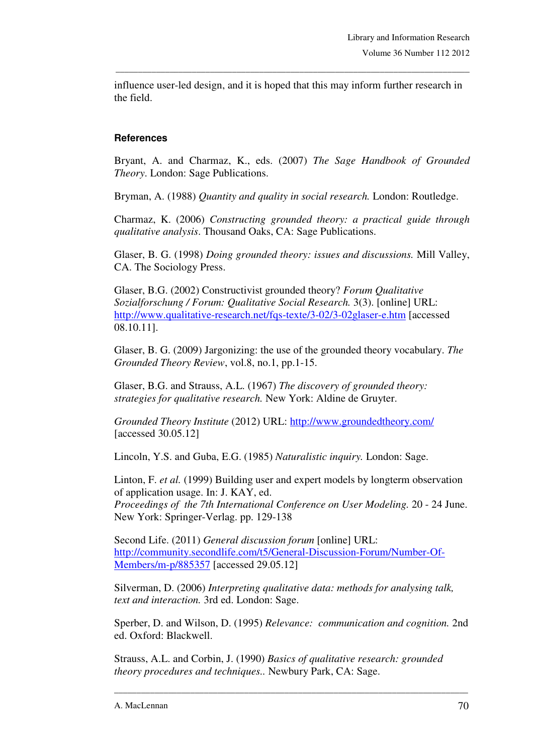influence user-led design, and it is hoped that this may inform further research in the field.

\_\_\_\_\_\_\_\_\_\_\_\_\_\_\_\_\_\_\_\_\_\_\_\_\_\_\_\_\_\_\_\_\_\_\_\_\_\_\_\_\_\_\_\_\_\_\_\_\_\_\_\_\_\_\_\_\_\_\_\_\_\_\_\_\_\_\_\_\_\_\_\_\_\_\_\_\_\_\_

#### **References**

Bryant, A. and Charmaz, K., eds. (2007) *The Sage Handbook of Grounded Theory*. London: Sage Publications.

Bryman, A. (1988) *Quantity and quality in social research.* London: Routledge.

Charmaz, K. (2006) *Constructing grounded theory: a practical guide through qualitative analysis*. Thousand Oaks, CA: Sage Publications.

Glaser, B. G. (1998) *Doing grounded theory: issues and discussions.* Mill Valley, CA. The Sociology Press.

Glaser, B.G. (2002) Constructivist grounded theory? *Forum Qualitative Sozialforschung / Forum: Qualitative Social Research.* 3(3). [online] URL: http://www.qualitative-research.net/fqs-texte/3-02/3-02glaser-e.htm [accessed 08.10.11].

Glaser, B. G. (2009) Jargonizing: the use of the grounded theory vocabulary. *The Grounded Theory Review*, vol.8, no.1, pp.1-15.

Glaser, B.G. and Strauss, A.L. (1967) *The discovery of grounded theory: strategies for qualitative research.* New York: Aldine de Gruyter.

*Grounded Theory Institute* (2012) URL: http://www.groundedtheory.com/ [accessed 30.05.12]

Lincoln, Y.S. and Guba, E.G. (1985) *Naturalistic inquiry.* London: Sage.

Linton, F. *et al.* (1999) Building user and expert models by longterm observation of application usage. In: J. KAY, ed.

*Proceedings of the 7th International Conference on User Modeling.* 20 - 24 June. New York: Springer-Verlag. pp. 129-138

Second Life. (2011) *General discussion forum* [online] URL: http://community.secondlife.com/t5/General-Discussion-Forum/Number-Of-Members/m-p/885357 [accessed 29.05.12]

Silverman, D. (2006) *Interpreting qualitative data: methods for analysing talk, text and interaction.* 3rd ed. London: Sage.

Sperber, D. and Wilson, D. (1995) *Relevance: communication and cognition.* 2nd ed. Oxford: Blackwell.

\_\_\_\_\_\_\_\_\_\_\_\_\_\_\_\_\_\_\_\_\_\_\_\_\_\_\_\_\_\_\_\_\_\_\_\_\_\_\_\_\_\_\_\_\_\_\_\_\_\_\_\_\_\_\_\_\_\_\_\_\_\_\_\_\_\_\_\_\_\_\_\_\_\_\_\_\_\_\_

Strauss, A.L. and Corbin, J. (1990) *Basics of qualitative research: grounded theory procedures and techniques..* Newbury Park, CA: Sage.